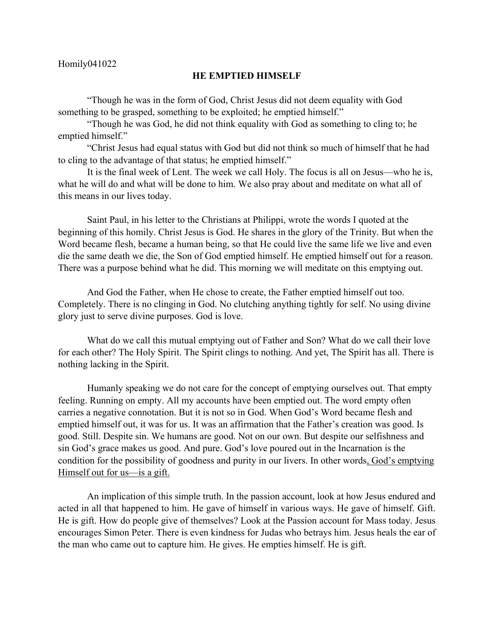## Homily041022

## **HE EMPTIED HIMSELF**

"Though he was in the form of God, Christ Jesus did not deem equality with God something to be grasped, something to be exploited; he emptied himself."

"Though he was God, he did not think equality with God as something to cling to; he emptied himself."

"Christ Jesus had equal status with God but did not think so much of himself that he had to cling to the advantage of that status; he emptied himself."

It is the final week of Lent. The week we call Holy. The focus is all on Jesus—who he is, what he will do and what will be done to him. We also pray about and meditate on what all of this means in our lives today.

Saint Paul, in his letter to the Christians at Philippi, wrote the words I quoted at the beginning of this homily. Christ Jesus is God. He shares in the glory of the Trinity. But when the Word became flesh, became a human being, so that He could live the same life we live and even die the same death we die, the Son of God emptied himself. He emptied himself out for a reason. There was a purpose behind what he did. This morning we will meditate on this emptying out.

And God the Father, when He chose to create, the Father emptied himself out too. Completely. There is no clinging in God. No clutching anything tightly for self. No using divine glory just to serve divine purposes. God is love.

What do we call this mutual emptying out of Father and Son? What do we call their love for each other? The Holy Spirit. The Spirit clings to nothing. And yet, The Spirit has all. There is nothing lacking in the Spirit.

Humanly speaking we do not care for the concept of emptying ourselves out. That empty feeling. Running on empty. All my accounts have been emptied out. The word empty often carries a negative connotation. But it is not so in God. When God's Word became flesh and emptied himself out, it was for us. It was an affirmation that the Father's creation was good. Is good. Still. Despite sin. We humans are good. Not on our own. But despite our selfishness and sin God's grace makes us good. And pure. God's love poured out in the Incarnation is the condition for the possibility of goodness and purity in our livers. In other words, God's emptying Himself out for us—is a gift.

An implication of this simple truth. In the passion account, look at how Jesus endured and acted in all that happened to him. He gave of himself in various ways. He gave of himself. Gift. He is gift. How do people give of themselves? Look at the Passion account for Mass today. Jesus encourages Simon Peter. There is even kindness for Judas who betrays him. Jesus heals the ear of the man who came out to capture him. He gives. He empties himself. He is gift.